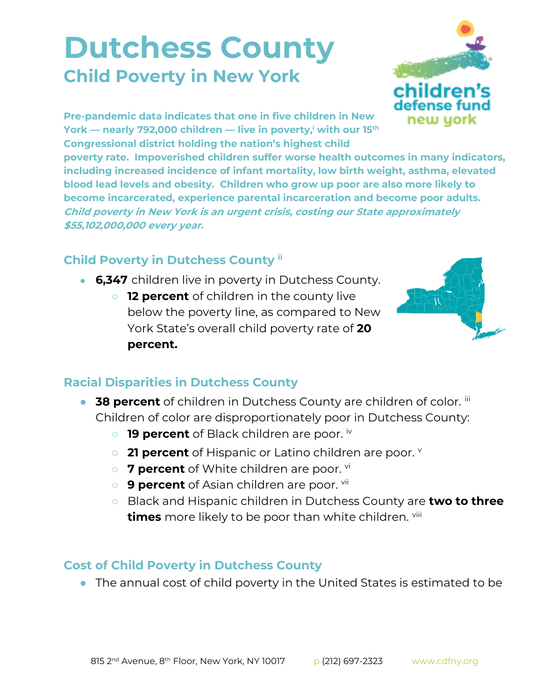## **Dutchess County Child Poverty in New York**



**Pre-pandemic data indicates that one in five children in New York — nearly 792,000 children — live in poverty,<sup>i</sup> with our 15th Congressional district holding the nation's highest child** 

**poverty rate. Impoverished children suffer worse health outcomes in many indicators, including increased incidence of infant mortality, low birth weight, asthma, elevated blood lead levels and obesity. Children who grow up poor are also more likely to become incarcerated, experience parental incarceration and become poor adults. Child poverty in New York is an urgent crisis, costing our State approximately \$55,102,000,000 every year.**

## **Child Poverty in Dutchess County ii**

- **6,347** children live in poverty in Dutchess County.
	- **12 percent** of children in the county live below the poverty line, as compared to New York State's overall child poverty rate of **20 percent.**



## **Racial Disparities in Dutchess County**

- **38 percent** of children in Dutchess County are children of color. iii Children of color are disproportionately poor in Dutchess County:
	- **19 percent** of Black children are poor. iv
	- **21 percent** of Hispanic or Latino children are poor. **v**
	- 7 percent of White children are poor. <sup>vi</sup>
	- **9 percent** of Asian children are poor. <sup>vii</sup>
	- Black and Hispanic children in Dutchess County are **two to three times** more likely to be poor than white children. viii

## **Cost of Child Poverty in Dutchess County**

● The annual cost of child poverty in the United States is estimated to be